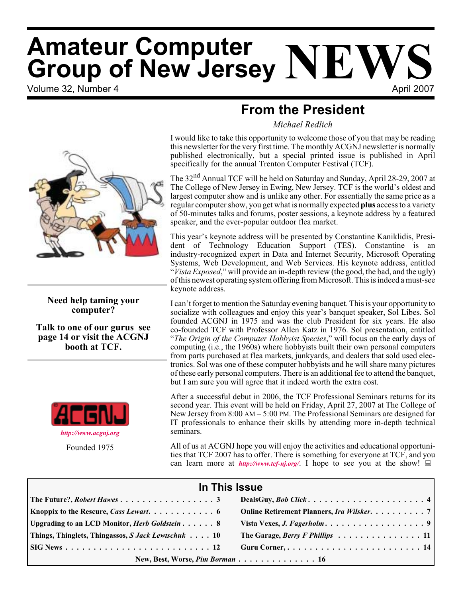# Volume 32. Number 4 April 2007 **Amateur Computer Group of New Jersey NEWS**

### **From the President**

*Michael Redlich*

I would like to take this opportunity to welcome those of you that may be reading this newsletter for the very first time. The monthly ACGNJ newsletter is normally published electronically, but a special printed issue is published in April specifically for the annual Trenton Computer Festival (TCF).

The 32<sup>nd</sup> Annual TCF will be held on Saturday and Sunday, April 28-29, 2007 at The College of New Jersey in Ewing, New Jersey. TCF is the world's oldest and largest computer show and is unlike any other. For essentially the same price as a regular computer show, you get what is normally expected **plus** access to a variety of 50-minutes talks and forums, poster sessions, a keynote address by a featured speaker, and the ever-popular outdoor flea market.

This year's keynote address will be presented by Constantine Kaniklidis, President of Technology Education Support (TES). Constantine is an industry-recognized expert in Data and Internet Security, Microsoft Operating Systems, Web Development, and Web Services. His keynote address, entitled "*Vista Exposed*," will provide an in-depth review (the good, the bad, and the ugly) of this newest operating system offering from Microsoft. This is indeed a must-see keynote address.

I can't forget to mention the Saturday evening banquet. This is your opportunity to socialize with colleagues and enjoy this year's banquet speaker, Sol Libes. Sol founded ACGNJ in 1975 and was the club President for six years. He also co-founded TCF with Professor Allen Katz in 1976. Sol presentation, entitled "*The Origin of the Computer Hobbyist Species*," will focus on the early days of computing (i.e., the 1960s) where hobbyists built their own personal computers from parts purchased at flea markets, junkyards, and dealers that sold used electronics. Sol was one of these computer hobbyists and he will share many pictures of these early personal computers. There is an additional fee to attend the banquet, but I am sure you will agree that it indeed worth the extra cost.

After a successful debut in 2006, the TCF Professional Seminars returns for its second year. This event will be held on Friday, April 27, 2007 at The College of New Jersey from 8:00 AM – 5:00 PM. The Professional Seminars are designed for IT professionals to enhance their skills by attending more in-depth technical seminars.

All of us at ACGNJ hope you will enjoy the activities and educational opportunities that TCF 2007 has to offer. There is something for everyone at TCF, and you can learn more at *<http://www.tcf-nj.org/>*. I hope to see you at the show!  $\Box$ 

| In This Issue                                                               |                                                                             |  |  |  |
|-----------------------------------------------------------------------------|-----------------------------------------------------------------------------|--|--|--|
|                                                                             |                                                                             |  |  |  |
| <b>Knoppix to the Rescure, Cass Lewart.</b> $\ldots \ldots \ldots \ldots$ 6 | Online Retirement Planners, Ira Wilsker. 7                                  |  |  |  |
| Upgrading to an LCD Monitor, <i>Herb Goldstein</i> 8                        |                                                                             |  |  |  |
| Things, Thinglets, Thingassos, S Jack Lewtschuk 10                          | The Garage, Berry F Phillips $\ldots \ldots \ldots \ldots \ldots \ldots 11$ |  |  |  |
|                                                                             |                                                                             |  |  |  |
| New, Best, Worse, Pim Borman 16                                             |                                                                             |  |  |  |



**Need help taming your computer?**

**Talk to one of our gurus see page 14 or visit the ACGNJ booth at TCF.**



Founded 1975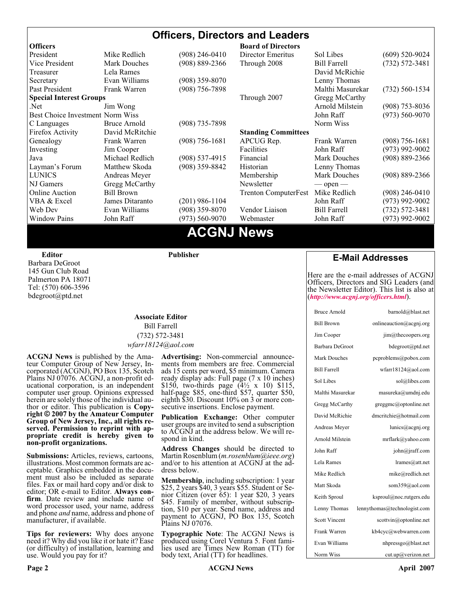#### **Officers, Directors and Leaders Officers Board of Directors**<br> **President Director Mike Redlich** (908) 246-0410 Director Emeritus (908) 246-0410 Director Emeritus Sol Libes (609) 520-9024 Vice President Mark Douches (908) 889-2366 Through 2008 Bill Farrell (732) 572-3481 Treasurer Lela Rames **David McRichie** David McRichie Secretary Evan Williams (908) 359-8070 Lenny Thomas Past President Frank Warren (908) 756-7898 Malthi Masurekar (732) 560-1534 **Special Interest Groups** Through 2007 Gregg McCarthy Net Jim Wong 31 Jim Wong 2008) 353-8036 Best Choice Investment Norm Wiss<br>
C Languages Bruce Arnold (908) 735-7898 (908) 700 Morm Wiss (973) 560-9070 C Languages Bruce Arnold (908) 735-7898<br>Firefox Activity David McRitchie Firefox Activity David McRitchie **Standing Committees** Genealogy Frank Warren (908) 756-1681 APCUG Rep. Frank Warren (908) 756-1681 Investing Jim Cooper Facilities Facilities John Raff (973) 992-9002<br>Java Michael Redlich (908) 537-4915 Financial Mark Douches (908) 889-2366 Java Michael Redlich (908) 537-4915 Financial Mark Douches (908) 889-2366 Layman's Forum Matthew Skoda (908) 359-8842 Historian Lenny Thomas LUNICS Andreas Meyer Membership Mark Douches (908) 889-2366 NJ Gamers Gregg McCarthy Newsletter — open — open — Online Auction Bill Brown Trenton ComputerFest Mike Redlich (908) 246-0410 VBA & Excel James Ditaranto (201) 986-1104 John Raff (973) 992-9002 Web Dev Evan Williams (908) 359-8070 Vendor Liaison Bill Farrell (732) 572-3481 Window Pains John Raff (973) 560-9070 Webmaster John Raff (973) 992-9002

### **ACGNJ News**

**Editor**

Barbara DeGroot 145 Gun Club Road Palmerton PA 18071 Tel: (570) 606-3596 bdegroot@ptd.net

**Publisher**

#### **Associate Editor** Bill Farrell (732) 572-3481 *wfarr18124@aol.com*

**ACGNJ News** is published by the Ama- teur Computer Group of New Jersey, In- corporated (ACGNJ), PO Box 135, Scotch Plains NJ 07076. ACGNJ, a non-profit ed-<br>ucational corporation, is an independent computer user group. Opinions expressed<br>herein are solely those of the individual author or editor. This publication is **Copy-**<br>right © 2007 by the Amateur Computer<br>Group of New Jersey, Inc., all rights re-**Group of New Jersey, Inc., all rights re- served. Permission to reprint with ap- propriate credit is hereby given to non-profit organizations.**

**Submissions:** Articles, reviews, cartoons, illustrations. Most common formats are acceptable. Graphics embedded in the docu-<br>ment must also be included as separate files. Fax or mail hard copy and/or disk to editor: OR e-mail to Editor. **Always con**firm. Date review and include name of word processor used, your name, address and phone *and* name, address and phone of manufacturer, if available.

**Tips for reviewers:** Why does anyone need it? Why did you like it or hate it? Ease (or difficulty) of installation, learning and use. Would you pay for it?

**Advertising:** Non-commercial announce- ments from members are free. Commercial ads 15 cents per word, \$5 minimum. Camera ready display ads: Full page (7 x 10 inches) \$150, two-thirds page (4½ x 10) \$115, half-page \$85, one-third \$57, quarter \$50, eighth \$30. Discount 10% on 3 or more con- secutive insertions. Enclose payment.

**Publication Exchange:** Other computer user groups are invited to send a subscription to ACGNJ at the address below. We will re- spond in kind.

**Address Changes** should be directed to Martin Rosenblum (*m.rosenblum@ieee.org*) and/or to his attention at ACGNJ at the ad- dress below.

**Membership**, including subscription: 1 year \$25, 2 years \$40, 3 years \$55. Student or Senior Citizen (over 65): 1 year \$20, 3 years \$45. Family of member, without subscription, \$10 per year. Send name, address and payment to ACGNJ, PO Box 135, Scotch Plains NJ 07076.

**Typographic Note**: The ACGNJ News is produced using Corel Ventura 5. Font fami- lies used are Times New Roman (TT) for body text, Arial (TT) for headlines.

#### **E-Mail Addresses**

Here are the e-mail addresses of ACGNJ Officers, Directors and SIG Leaders (and the Newsletter Editor). This list is also at (*<http://www.acgnj.org/officers.html>*).

| <b>Bruce Arnold</b>  | barnold@blast.net            |
|----------------------|------------------------------|
| <b>Bill Brown</b>    | onlineauction@acgnj.org      |
| Jim Cooper           | jim@thecoopers.org           |
| Barbara DeGroot      | bdegroot@ptd.net             |
| <b>Mark Douches</b>  | pcproblems@pobox.com         |
| <b>Bill Farrell</b>  | wfarr18124@aol.com           |
| Sol Libes            | sol@libes.com                |
| Malthi Masurekar     | masureka@umdnj.edu           |
| Gregg McCarthy       | greggmc@optonline.net        |
| David McRichie       | dmcritchie@hotmail.com       |
| Andreas Meyer        | lunics@acgni.org             |
| Arnold Milstein      | mrflark@yahoo.com            |
| John Raff            | john@jraff.com               |
| Lela Rames           | lrames@att.net               |
| Mike Redlich         | mike@redlich.net             |
| Matt Skoda           | som359@aol.com               |
| Keith Sproul         | ksproul@noc.rutgers.edu      |
| Lenny Thomas         | lennythomas@technologist.com |
| <b>Scott Vincent</b> | scottvin@optonline.net       |
| Frank Warren         | kb4cyc@webwarren.com         |
| Evan Williams        | nhpressgo@blast.net          |
| Norm Wiss            | cut.up@verizon.net           |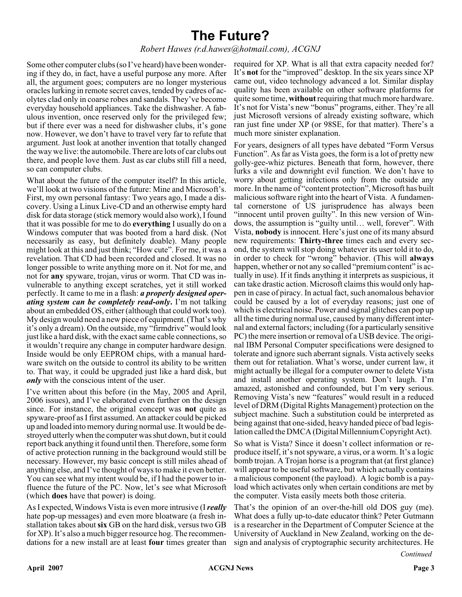### **The Future?**

#### *Robert Hawes (r.d.hawes@hotmail.com), ACGNJ*

Some other computer clubs (so I've heard) have been wondering if they do, in fact, have a useful purpose any more. After all, the argument goes; computers are no longer mysterious oracles lurking in remote secret caves, tended by cadres of acolytes clad only in coarse robes and sandals. They've become everyday household appliances. Take the dishwasher. A fabulous invention, once reserved only for the privileged few; but if there ever was a need for dishwasher clubs, it's gone now. However, we don't have to travel very far to refute that argument. Just look at another invention that totally changed the way we live: the automobile. There are lots of car clubs out there, and people love them. Just as car clubs still fill a need, so can computer clubs.

What about the future of the computer itself? In this article, we'll look at two visions of the future: Mine and Microsoft's. First, my own personal fantasy: Two years ago, I made a discovery. Using a Linux Live-CD and an otherwise empty hard disk for data storage (stick memory would also work), I found that it was possible for me to do **everything** I usually do on a Windows computer that was booted from a hard disk. (Not necessarily as easy, but definitely doable). Many people might look at this and just think; "How cute". For me, it was a revelation. That CD had been recorded and closed. It was no longer possible to write anything more on it. Not for me, and not for **any** spyware, trojan, virus or worm. That CD was invulnerable to anything except scratches, yet it still worked perfectly. It came to me in a flash: *a properly designed operating system can be completely read-only***.** I'm not talking about an embedded OS, either (although that could work too). My design would need a new piece of equipment. (That's why it's only a dream). On the outside, my "firmdrive" would look just like a hard disk, with the exact same cable connections, so it wouldn't require any change in computer hardware design. Inside would be only EEPROM chips, with a manual hardware switch on the outside to control its ability to be written to. That way, it could be upgraded just like a hard disk, but *only* with the conscious intent of the user.

I've written about this before (in the May, 2005 and April, 2006 issues), and I've elaborated even further on the design since. For instance, the original concept was **not** quite as spyware-proof as I first assumed. An attacker could be picked up and loaded into memory during normal use. It would be destroyed utterly when the computer was shut down, but it could report back anything it found until then. Therefore, some form of active protection running in the background would still be necessary. However, my basic concept is still miles ahead of anything else, and I've thought of ways to make it even better. You can see what my intent would be, if I had the power to influence the future of the PC. Now, let's see what Microsoft (which **does** have that power) is doing.

As I expected, Windows Vista is even more intrusive (I*really* hate pop-up messages) and even more bloatware (a fresh installation takes about **six** GB on the hard disk, versus two GB for XP). It's also a much bigger resource hog. The recommendations for a new install are at least **four** times greater than

required for XP. What is all that extra capacity needed for? It's **not** for the "improved" desktop. In the six years since XP came out, video technology advanced a lot. Similar display quality has been available on other software platforms for quite some time, **without**requiring that much more hardware. It's not for Vista's new "bonus" programs, either. They're all just Microsoft versions of already existing software, which ran just fine under XP (or 98SE, for that matter). There's a much more sinister explanation.

For years, designers of all types have debated "Form Versus Function". As far as Vista goes, the form is a lot of pretty new golly-gee-whiz pictures. Beneath that form, however, there lurks a vile and downright evil function. We don't have to worry about getting infections only from the outside any more. In the name of "content protection", Microsoft has built malicious software right into the heart of Vista. A fundamental cornerstone of US jurisprudence has always been "innocent until proven guilty". In this new version of Windows, the assumption is "guilty until… well, forever". With Vista, **nobody** is innocent. Here's just one of its many absurd new requirements: **Thirty-three** times each and every second, the system will stop doing whatever its user told it to do, in order to check for "wrong" behavior. (This will **always** happen, whether or not any so called "premium content" is actually in use). If it finds anything it interprets as suspicious, it can take drastic action. Microsoft claims this would only happen in case of piracy. In actual fact, such anomalous behavior could be caused by a lot of everyday reasons; just one of which is electrical noise. Power and signal glitches can pop up all the time during normal use, caused by many different internal and external factors; including (for a particularly sensitive PC) the mere insertion or removal of a USB device. The original IBM Personal Computer specifications were designed to tolerate and ignore such aberrant signals. Vista actively seeks them out for retaliation. What's worse, under current law, it might actually be illegal for a computer owner to delete Vista and install another operating system. Don't laugh. I'm amazed, astonished and confounded, but I'm **very** serious. Removing Vista's new "features" would result in a reduced level of DRM (Digital Rights Management) protection on the subject machine. Such a substitution could be interpreted as being against that one-sided, heavy handed piece of bad legislation called the DMCA (Digital Millennium Copyright Act).

So what is Vista? Since it doesn't collect information or reproduce itself, it's not spyware, a virus, or a worm. It's a logic bomb trojan. A Trojan horse is a program that (at first glance) will appear to be useful software, but which actually contains a malicious component (the payload). A logic bomb is a payload which activates only when certain conditions are met by the computer. Vista easily meets both those criteria.

That's the opinion of an over-the-hill old DOS guy (me). What does a fully up-to-date educator think? Peter Gutmann is a researcher in the Department of Computer Science at the University of Auckland in New Zealand, working on the design and analysis of cryptographic security architectures. He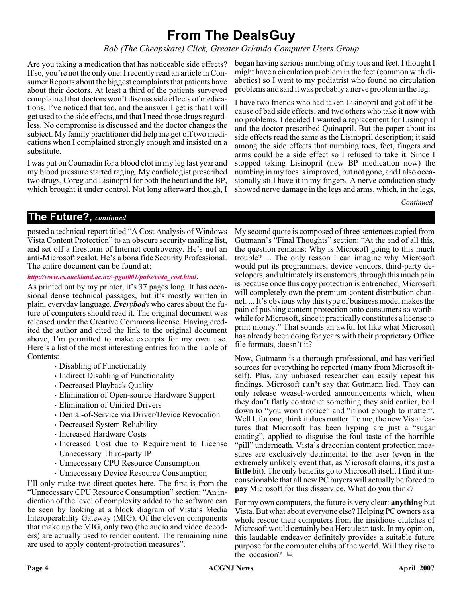### **From The DealsGuy**

*Bob (The Cheapskate) Click, Greater Orlando Computer Users Group*

Are you taking a medication that has noticeable side effects? If so, you're not the only one. I recently read an article in Consumer Reports about the biggest complaints that patients have about their doctors. At least a third of the patients surveyed complained that doctors won't discuss side effects of medications. I've noticed that too, and the answer I get is that I will get used to the side effects, and that I need those drugs regardless. No compromise is discussed and the doctor changes the subject. My family practitioner did help me get off two medications when I complained strongly enough and insisted on a substitute.

I was put on Coumadin for a blood clot in my leg last year and my blood pressure started raging. My cardiologist prescribed two drugs, Coreg and Lisinopril for both the heart and the BP, which brought it under control. Not long afterward though, I began having serious numbing of my toes and feet. I thought I might have a circulation problem in the feet (common with diabetics) so I went to my podiatrist who found no circulation problems and said it was probably a nerve problem in the leg.

I have two friends who had taken Lisinopril and got off it because of bad side effects, and two others who take it now with no problems. I decided I wanted a replacement for Lisinopril and the doctor prescribed Quinapril. But the paper about its side effects read the same as the Lisinopril description; it said among the side effects that numbing toes, feet, fingers and arms could be a side effect so I refused to take it. Since I stopped taking Lisinopril (new BP medication now) the numbing in my toes is improved, but not gone, and I also occasionally still have it in my fingers. A nerve conduction study showed nerve damage in the legs and arms, which, in the legs,

*Continued*

#### **The Future?,** *continued*

posted a technical report titled "A Cost Analysis of Windows Vista Content Protection" to an obscure security mailing list, and set off a firestorm of Internet controversy. He's **not** an anti-Microsoft zealot. He's a bona fide Security Professional. The entire document can be found at:

#### *[http://www.cs.auckland.ac.nz/~pgut001/pubs/vista\\_cost.html](http://www.cs.auckland.ac.nz/~pgut001/pubs/vista_cost.html)*.

As printed out by my printer, it's 37 pages long. It has occasional dense technical passages, but it's mostly written in plain, everyday language. *Everybody* who cares about the future of computers should read it. The original document was released under the Creative Commons license. Having credited the author and cited the link to the original document above, I'm permitted to make excerpts for my own use. Here's a list of the most interesting entries from the Table of Contents:

- Disabling of Functionality
- Indirect Disabling of Functionality
- Decreased Playback Quality
- Elimination of Open-source Hardware Support
- Elimination of Unified Drivers
- Denial-of-Service via Driver/Device Revocation
- Decreased System Reliability
- Increased Hardware Costs
- Increased Cost due to Requirement to License Unnecessary Third-party IP
- Unnecessary CPU Resource Consumption
- Unnecessary Device Resource Consumption

I'll only make two direct quotes here. The first is from the "Unnecessary CPU Resource Consumption" section: "An indication of the level of complexity added to the software can be seen by looking at a block diagram of Vista's Media Interoperability Gateway (MIG). Of the eleven components that make up the MIG, only two (the audio and video decoders) are actually used to render content. The remaining nine are used to apply content-protection measures".

My second quote is composed of three sentences copied from Gutmann's "Final Thoughts" section: "At the end of all this, the question remains: Why is Microsoft going to this much trouble? ... The only reason I can imagine why Microsoft would put its programmers, device vendors, third-party developers, and ultimately its customers, through this much pain is because once this copy protection is entrenched, Microsoft will completely own the premium-content distribution channel. ... It's obvious why this type of business model makes the pain of pushing content protection onto consumers so worthwhile for Microsoft, since it practically constitutes a license to print money." That sounds an awful lot like what Microsoft has already been doing for years with their proprietary Office file formats, doesn't it?

Now, Gutmann is a thorough professional, and has verified sources for everything he reported (many from Microsoft itself). Plus, any unbiased researcher can easily repeat his findings. Microsoft **can't** say that Gutmann lied. They can only release weasel-worded announcements which, when they don't flatly contradict something they said earlier, boil down to "you won't notice" and "it not enough to matter". Well I, for one, think it **does** matter. To me, the new Vista features that Microsoft has been hyping are just a "sugar coating", applied to disguise the foul taste of the horrible "pill" underneath. Vista's draconian content protection measures are exclusively detrimental to the user (even in the extremely unlikely event that, as Microsoft claims, it's just a **little** bit). The only benefits go to Microsoft itself. I find it unconscionable that all new PC buyers will actually be forced to **pay** Microsoft for this disservice. What do **you** think?

For my own computers, the future is very clear: **anything** but Vista. But what about everyone else? Helping PC owners as a whole rescue their computers from the insidious clutches of Microsoft would certainly be a Herculean task. In my opinion, this laudable endeavor definitely provides a suitable future purpose for the computer clubs of the world. Will they rise to the occasion?  $\Box$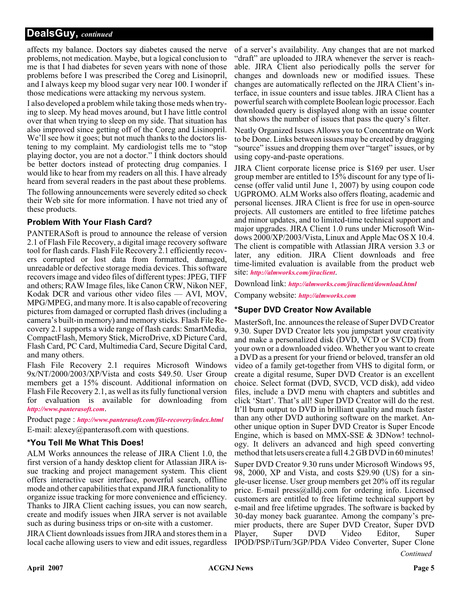#### **DealsGuy,** *continued*

affects my balance. Doctors say diabetes caused the nerve problems, not medication. Maybe, but a logical conclusion to me is that I had diabetes for seven years with none of those problems before I was prescribed the Coreg and Lisinopril, and I always keep my blood sugar very near 100. I wonder if those medications were attacking my nervous system.

I also developed a problem while taking those meds when trying to sleep. My head moves around, but I have little control over that when trying to sleep on my side. That situation has also improved since getting off of the Coreg and Lisinopril. We'll see how it goes; but not much thanks to the doctors listening to my complaint. My cardiologist tells me to "stop playing doctor, you are not a doctor." I think doctors should be better doctors instead of protecting drug companies. I would like to hear from my readers on all this. I have already heard from several readers in the past about these problems.

The following announcements were severely edited so check their Web site for more information. I have not tried any of these products.

#### **Problem With Your Flash Card?**

PANTERASoft is proud to announce the release of version 2.1 of Flash File Recovery, a digital image recovery software tool for flash cards. Flash File Recovery 2.1 efficiently recovers corrupted or lost data from formatted, damaged, unreadable or defective storage media devices. This software recovers image and video files of different types: JPEG, TIFF and others; RAW Image files, like Canon CRW, Nikon NEF, Kodak DCR and various other video files — AVI, MOV, MPG/MPEG, and many more. It is also capable of recovering pictures from damaged or corrupted flash drives (including a camera's built-in memory) and memory sticks. Flash File Recovery 2.1 supports a wide range of flash cards: SmartMedia, CompactFlash, Memory Stick, MicroDrive, xD Picture Card, Flash Card, PC Card, Multimedia Card, Secure Digital Card, and many others.

Flash File Recovery 2.1 requires Microsoft Windows 9x/NT/2000/2003/XP/Vista and costs \$49.50. User Group members get a 15% discount. Additional information on Flash File Recovery 2.1, as well as its fully functional version for evaluation is available for downloading from *<http://www.panterasoft.com>*.

Product page : *<http://www.panterasoft.com/file-recovery/index.html>* E-mail: alexey@panterasoft.com with questions.

#### **\*You Tell Me What This Does!**

ALM Works announces the release of JIRA Client 1.0, the first version of a handy desktop client for Atlassian JIRA issue tracking and project management system. This client offers interactive user interface, powerful search, offline mode and other capabilities that expand JIRA functionality to organize issue tracking for more convenience and efficiency. Thanks to JIRA Client caching issues, you can now search, create and modify issues when JIRA server is not available such as during business trips or on-site with a customer.

JIRA Client downloads issues from JIRA and stores them in a local cache allowing users to view and edit issues, regardless

of a server's availability. Any changes that are not marked "draft" are uploaded to JIRA whenever the server is reachable. JIRA Client also periodically polls the server for changes and downloads new or modified issues. These changes are automatically reflected on the JIRA Client's interface, in issue counters and issue tables. JIRA Client has a powerful search with complete Boolean logic processor. Each downloaded query is displayed along with an issue counter that shows the number of issues that pass the query's filter.

Neatly Organized Issues Allows you to Concentrate on Work to be Done. Links between issues may be created by dragging "source" issues and dropping them over "target" issues, or by using copy-and-paste operations.

JIRA Client corporate license price is \$169 per user. User group member are entitled to 15% discount for any type of license (offer valid until June 1, 2007) by using coupon code UGPROMO. ALM Works also offers floating, academic and personal licenses. JIRA Client is free for use in open-source projects. All customers are entitled to free lifetime patches and minor updates, and to limited-time technical support and major upgrades. JIRA Client 1.0 runs under Microsoft Windows 2000/XP/2003/Vista, Linux and Apple Mac OS X 10.4. The client is compatible with Atlassian JIRA version 3.3 or later, any edition. JIRA Client downloads and free time-limited evaluation is available from the product web site: *<http://almworks.com/jiraclient>*.

Download link: *<http://almworks.com/jiraclient/download.html>*

Company website: *<http://almworks.com>*

#### **\*Super DVD Creator Now Available**

MasterSoft, Inc. announces the release of Super DVD Creator 9.30. Super DVD Creator lets you jumpstart your creativity and make a personalized disk (DVD, VCD or SVCD) from your own or a downloaded video. Whether you want to create a DVD as a present for your friend or beloved, transfer an old video of a family get-together from VHS to digital form, or create a digital resume, Super DVD Creator is an excellent choice. Select format (DVD, SVCD, VCD disk), add video files, include a DVD menu with chapters and subtitles and click 'Start'. That's all! Super DVD Creator will do the rest. It'll burn output to DVD in brilliant quality and much faster than any other DVD authoring software on the market. Another unique option in Super DVD Creator is Super Encode Engine, which is based on MMX-SSE & 3DNow! technology. It delivers an advanced and high speed converting method that lets users create a full 4.2 GB DVD in 60 minutes!

Super DVD Creator 9.30 runs under Microsoft Windows 95, 98, 2000, XP and Vista, and costs \$29.90 (US) for a single-user license. User group members get 20% off its regular price. E-mail press@alldj.com for ordering info. Licensed customers are entitled to free lifetime technical support by e-mail and free lifetime upgrades. The software is backed by 30-day money back guarantee. Among the company's premier products, there are Super DVD Creator, Super DVD Player, Super DVD Video Editor, Super IPOD/PSP/iTurn/3GP/PDA Video Converter, Super Clone

*Continued*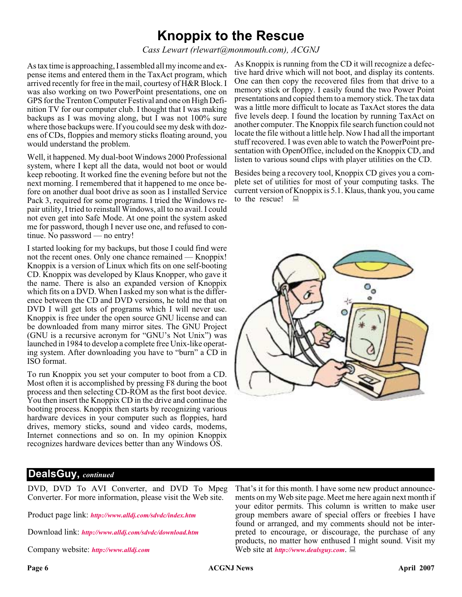### **Knoppix to the Rescue**

*Cass Lewart (rlewart@monmouth.com), ACGNJ*

As tax time is approaching, I assembled all my income and expense items and entered them in the TaxAct program, which arrived recently for free in the mail, courtesy of H&R Block. I was also working on two PowerPoint presentations, one on GPS for the Trenton Computer Festival and one on High Definition TV for our computer club. I thought that I was making backups as I was moving along, but I was not 100% sure where those backups were. If you could see my desk with dozens of CDs, floppies and memory sticks floating around, you would understand the problem.

Well, it happened. My dual-boot Windows 2000 Professional system, where I kept all the data, would not boot or would keep rebooting. It worked fine the evening before but not the next morning. I remembered that it happened to me once before on another dual boot drive as soon as I installed Service Pack 3, required for some programs. I tried the Windows repair utility, I tried to reinstall Windows, all to no avail. I could not even get into Safe Mode. At one point the system asked me for password, though I never use one, and refused to continue. No password — no entry!

I started looking for my backups, but those I could find were not the recent ones. Only one chance remained — Knoppix! Knoppix is a version of Linux which fits on one self-booting CD. Knoppix was developed by Klaus Knopper, who gave it the name. There is also an expanded version of Knoppix which fits on a DVD. When I asked my son what is the difference between the CD and DVD versions, he told me that on DVD I will get lots of programs which I will never use. Knoppix is free under the open source GNU license and can be downloaded from many mirror sites. The GNU Project (GNU is a recursive acronym for "GNU's Not Unix") was launched in 1984 to develop a complete free Unix-like operating system. After downloading you have to "burn" a CD in ISO format.

To run Knoppix you set your computer to boot from a CD. Most often it is accomplished by pressing F8 during the boot process and then selecting CD-ROM as the first boot device. You then insert the Knoppix CD in the drive and continue the booting process. Knoppix then starts by recognizing various hardware devices in your computer such as floppies, hard drives, memory sticks, sound and video cards, modems, Internet connections and so on. In my opinion Knoppix recognizes hardware devices better than any Windows OS.

As Knoppix is running from the CD it will recognize a defective hard drive which will not boot, and display its contents. One can then copy the recovered files from that drive to a memory stick or floppy. I easily found the two Power Point presentations and copied them to a memory stick. The tax data was a little more difficult to locate as TaxAct stores the data five levels deep. I found the location by running TaxAct on another computer. The Knoppix file search function could not locate the file without a little help. Now I had all the important stuff recovered. I was even able to watch the PowerPoint presentation with OpenOffice, included on the Knoppix CD, and listen to various sound clips with player utilities on the CD.

Besides being a recovery tool, Knoppix CD gives you a complete set of utilities for most of your computing tasks. The current version of Knoppix is 5.1. Klaus, thank you, you came to the rescue!  $\Box$ 



#### **DealsGuy,** *continued*

DVD, DVD To AVI Converter, and DVD To Mpeg Converter. For more information, please visit the Web site.

Product page link: *<http://www.alldj.com/sdvdc/index.htm>*

Download link: *<http://www.alldj.com/sdvdc/download.htm>*

Company website: *<http://www.alldj.com>*

That's it for this month. I have some new product announcements on my Web site page. Meet me here again next month if your editor permits. This column is written to make user group members aware of special offers or freebies I have found or arranged, and my comments should not be interpreted to encourage, or discourage, the purchase of any products, no matter how enthused I might sound. Visit my Web site at *<http://www.dealsguy.com>*.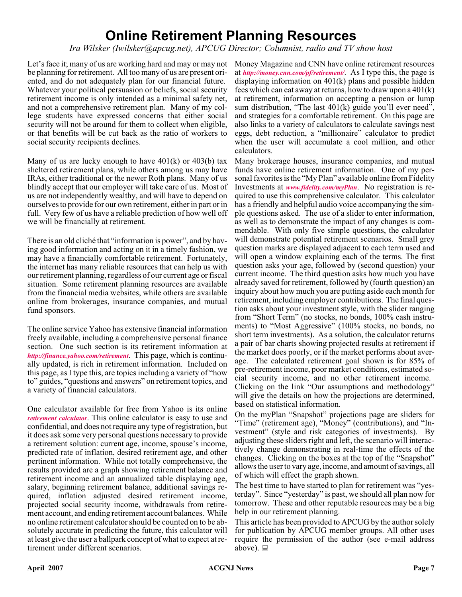### **Online Retirement Planning Resources**

*Ira Wilsker (Iwilsker@apcug.net), APCUG Director; Columnist, radio and TV show host*

Let's face it; many of us are working hard and may or may not be planning for retirement. All too many of us are present oriented, and do not adequately plan for our financial future. Whatever your political persuasion or beliefs, social security retirement income is only intended as a minimal safety net, and not a comprehensive retirement plan. Many of my college students have expressed concerns that either social security will not be around for them to collect when eligible, or that benefits will be cut back as the ratio of workers to social security recipients declines.

Many of us are lucky enough to have  $401(k)$  or  $403(b)$  tax sheltered retirement plans, while others among us may have IRAs, either traditional or the newer Roth plans. Many of us blindly accept that our employer will take care of us. Most of us are not independently wealthy, and will have to depend on ourselves to provide for our own retirement, either in part or in full. Very few of us have a reliable prediction of how well off we will be financially at retirement.

There is an old cliché that "information is power", and by having good information and acting on it in a timely fashion, we may have a financially comfortable retirement. Fortunately, the internet has many reliable resources that can help us with our retirement planning, regardless of our current age or fiscal situation. Some retirement planning resources are available from the financial media websites, while others are available online from brokerages, insurance companies, and mutual fund sponsors.

The online service Yahoo has extensive financial information freely available, including a comprehensive personal finance section. One such section is its retirement information at *<http://finance.yahoo.com/retirement>*. This page, which is continually updated, is rich in retirement information. Included on this page, as I type this, are topics including a variety of "how to" guides, "questions and answers" on retirement topics, and a variety of financial calculators.

One calculator available for free from Yahoo is its online *[retirement calculator](http://finance.yahoo.com/calculator/retirement/ret-02   )*. This online calculator is easy to use and confidential, and does not require any type of registration, but it does ask some very personal questions necessary to provide a retirement solution: current age, income, spouse's income, predicted rate of inflation, desired retirement age, and other pertinent information. While not totally comprehensive, the results provided are a graph showing retirement balance and retirement income and an annualized table displaying age, salary, beginning retirement balance, additional savings required, inflation adjusted desired retirement income, projected social security income, withdrawals from retirement account, and ending retirement account balances. While no online retirement calculator should be counted on to be absolutely accurate in predicting the future, this calculator will at least give the user a ballpark concept of what to expect at retirement under different scenarios.

Money Magazine and CNN have online retirement resources at *<http://money.cnn.com/pf/retirement/>*. As I type this, the page is displaying information on 401(k) plans and possible hidden fees which can eat away at returns, how to draw upon a 401(k) at retirement, information on accepting a pension or lump sum distribution, "The last 401(k) guide you'll ever need", and strategies for a comfortable retirement. On this page are also links to a variety of calculators to calculate savings nest eggs, debt reduction, a "millionaire" calculator to predict when the user will accumulate a cool million, and other calculators.

Many brokerage houses, insurance companies, and mutual funds have online retirement information. One of my personal favorites is the "My Plan" available online from Fidelity Investments at *[www.fidelity.com/myPlan](http://www.fidelity.com/myPlan)*. No registration is required to use this comprehensive calculator. This calculator has a friendly and helpful audio voice accompanying the simple questions asked. The use of a slider to enter information, as well as to demonstrate the impact of any changes is commendable. With only five simple questions, the calculator will demonstrate potential retirement scenarios. Small grey question marks are displayed adjacent to each term used and will open a window explaining each of the terms. The first question asks your age, followed by (second question) your current income. The third question asks how much you have already saved for retirement, followed by (fourth question) an inquiry about how much you are putting aside each month for retirement, including employer contributions. The final question asks about your investment style, with the slider ranging from "Short Term" (no stocks, no bonds, 100% cash instruments) to "Most Aggressive" (100% stocks, no bonds, no short term investments). As a solution, the calculator returns a pair of bar charts showing projected results at retirement if the market does poorly, or if the market performs about average. The calculated retirement goal shown is for 85% of pre-retirement income, poor market conditions, estimated social security income, and no other retirement income. Clicking on the link "Our assumptions and methodology" will give the details on how the projections are determined, based on statistical information.

On the myPlan "Snapshot" projections page are sliders for "Time" (retirement age), "Money" (contributions), and "Investment" (style and risk categories of investments). By adjusting these sliders right and left, the scenario will interactively change demonstrating in real-time the effects of the changes. Clicking on the boxes at the top of the "Snapshot" allows the user to vary age, income, and amount of savings, all of which will effect the graph shown.

The best time to have started to plan for retirement was "yesterday". Since "yesterday" is past, we should all plan now for tomorrow. These and other reputable resources may be a big help in our retirement planning.

This article has been provided to APCUG by the author solely for publication by APCUG member groups. All other uses require the permission of the author (see e-mail address above).  $\Box$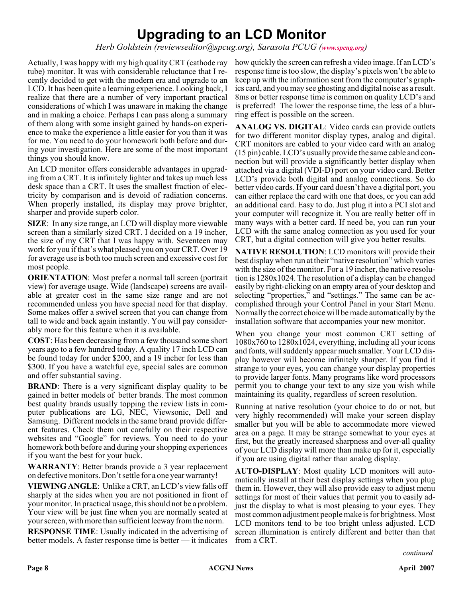### **Upgrading to an LCD Monitor**

*Herb Goldstein (reviewseditor@spcug.org), Sarasota PCUG ([www.spcug.org](http://www.spcug.org))*

Actually, I was happy with my high quality CRT (cathode ray tube) monitor. It was with considerable reluctance that I recently decided to get with the modern era and upgrade to an LCD. It has been quite a learning experience. Looking back, I realize that there are a number of very important practical considerations of which I was unaware in making the change and in making a choice. Perhaps I can pass along a summary of them along with some insight gained by hands-on experience to make the experience a little easier for you than it was for me. You need to do your homework both before and during your investigation. Here are some of the most important things you should know.

An LCD monitor offers considerable advantages in upgrading from a CRT. It is infinitely lighter and takes up much less desk space than a CRT. It uses the smallest fraction of electricity by comparison and is devoid of radiation concerns. When properly installed, its display may prove brighter, sharper and provide superb color.

**SIZE**: In any size range, an LCD will display more viewable screen than a similarly sized CRT. I decided on a 19 incher, the size of my CRT that I was happy with. Seventeen may work for you if that's what pleased you on your CRT. Over 19 for average use is both too much screen and excessive cost for most people.

**ORIENTATION:** Most prefer a normal tall screen (portrait view) for average usage. Wide (landscape) screens are available at greater cost in the same size range and are not recommended unless you have special need for that display. Some makes offer a swivel screen that you can change from tall to wide and back again instantly. You will pay considerably more for this feature when it is available.

**COST**: Has been decreasing from a few thousand some short years ago to a few hundred today. A quality 17 inch LCD can be found today for under \$200, and a 19 incher for less than \$300. If you have a watchful eye, special sales are common and offer substantial saving.

**BRAND**: There is a very significant display quality to be gained in better models of better brands. The most common best quality brands usually topping the review lists in computer publications are LG, NEC, Viewsonic, Dell and Samsung. Different models in the same brand provide different features. Check them out carefully on their respective websites and "Google" for reviews. You need to do your homework both before and during your shopping experiences if you want the best for your buck.

**WARRANTY**: Better brands provide a 3 year replacement on defective monitors. Don't settle for a one year warranty!

**VIEWING ANGLE**: Unlike a CRT, an LCD's view falls off sharply at the sides when you are not positioned in front of your monitor. In practical usage, this should not be a problem. Your view will be just fine when you are normally seated at your screen, with more than sufficient leeway from the norm.

**RESPONSE TIME**: Usually indicated in the advertising of better models. A faster response time is better — it indicates

how quickly the screen can refresh a video image. If an LCD's response time is too slow, the display's pixels won't be able to keep up with the information sent from the computer's graphics card, and you may see ghosting and digital noise as a result. 8ms or better response time is common on quality LCD's and is preferred! The lower the response time, the less of a blurring effect is possible on the screen.

**ANALOG VS. DIGITAL**: Video cards can provide outlets for two different monitor display types, analog and digital. CRT monitors are cabled to your video card with an analog (15 pin) cable. LCD's usually provide the same cable and connection but will provide a significantly better display when attached via a digital (VDI-D) port on your video card. Better LCD's provide both digital and analog connections. So do better video cards. If your card doesn't have a digital port, you can either replace the card with one that does, or you can add an additional card. Easy to do. Just plug it into a PCI slot and your computer will recognize it. You are really better off in many ways with a better card. If need be, you can run your LCD with the same analog connection as you used for your CRT, but a digital connection will give you better results.

**NATIVE RESOLUTION**: LCD monitors will provide their best display when run at their "native resolution" which varies with the size of the monitor. For a 19 incher, the native resolution is 1280x1024. The resolution of a display can be changed easily by right-clicking on an empty area of your desktop and selecting "properties," and "settings." The same can be accomplished through your Control Panel in your Start Menu. Normally the correct choice will be made automatically by the installation software that accompanies your new monitor.

When you change your most common CRT setting of 1080x760 to 1280x1024, everything, including all your icons and fonts, will suddenly appear much smaller. Your LCD display however will become infinitely sharper. If you find it strange to your eyes, you can change your display properties to provide larger fonts. Many programs like word processors permit you to change your text to any size you wish while maintaining its quality, regardless of screen resolution.

Running at native resolution (your choice to do or not, but very highly recommended) will make your screen display smaller but you will be able to accommodate more viewed area on a page. It may be strange somewhat to your eyes at first, but the greatly increased sharpness and over-all quality of your LCD display will more than make up for it, especially if you are using digital rather than analog display.

**AUTO-DISPLAY**: Most quality LCD monitors will automatically install at their best display settings when you plug them in. However, they will also provide easy to adjust menu settings for most of their values that permit you to easily adjust the display to what is most pleasing to your eyes. They most common adjustment people make is for brightness. Most LCD monitors tend to be too bright unless adjusted. LCD screen illumination is entirely different and better than that from a CRT.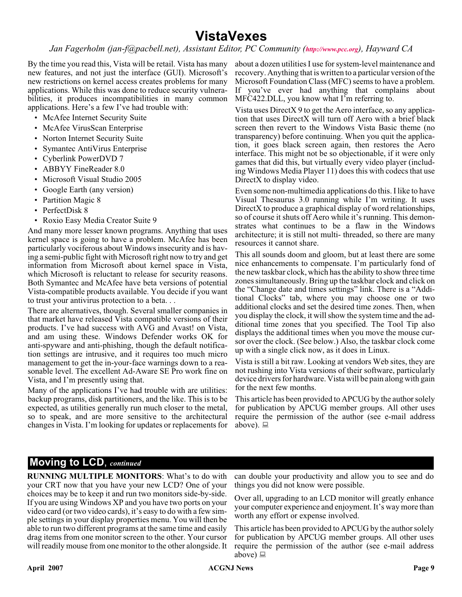### **VistaVexes**

#### *Jan Fagerholm (jan-f@pacbell.net), Assistant Editor, PC Community (<http://www.pcc.org>), Hayward CA*

By the time you read this, Vista will be retail. Vista has many new features, and not just the interface (GUI). Microsoft's new restrictions on kernel access creates problems for many applications. While this was done to reduce security vulnerabilities, it produces incompatibilities in many common applications. Here's a few I've had trouble with:

- McAfee Internet Security Suite
- McAfee VirusScan Enterprise
- Norton Internet Security Suite
- Symantec AntiVirus Enterprise
- Cyberlink PowerDVD 7
- ABBYY FineReader 8.0
- Microsoft Visual Studio 2005
- Google Earth (any version)
- Partition Magic 8
- PerfectDisk 8
- Roxio Easy Media Creator Suite 9

And many more lesser known programs. Anything that uses kernel space is going to have a problem. McAfee has been particularly vociferous about Windows insecurity and is having a semi-public fight with Microsoft right now to try and get information from Microsoft about kernel space in Vista, which Microsoft is reluctant to release for security reasons. Both Symantec and McAfee have beta versions of potential Vista-compatible products available. You decide if you want to trust your antivirus protection to a beta. . .

There are alternatives, though. Several smaller companies in that market have released Vista compatible versions of their products. I've had success with AVG and Avast! on Vista, and am using these. Windows Defender works OK for anti-spyware and anti-phishing, though the default notification settings are intrusive, and it requires too much micro management to get the in-your-face warnings down to a reasonable level. The excellent Ad-Aware SE Pro work fine on Vista, and I'm presently using that.

Many of the applications I've had trouble with are utilities: backup programs, disk partitioners, and the like. This is to be expected, as utilities generally run much closer to the metal, so to speak, and are more sensitive to the architectural changes in Vista. I'm looking for updates or replacements for

about a dozen utilities I use for system-level maintenance and recovery. Anything that is written to a particular version of the Microsoft Foundation Class (MFC) seems to have a problem. If you've ever had anything that complains about MFC422.DLL, you know what I'm referring to.

Vista uses DirectX 9 to get the Aero interface, so any application that uses DirectX will turn off Aero with a brief black screen then revert to the Windows Vista Basic theme (no transparency) before continuing. When you quit the application, it goes black screen again, then restores the Aero interface. This might not be so objectionable, if it were only games that did this, but virtually every video player (including Windows Media Player 11) does this with codecs that use DirectX to display video.

Even some non-multimedia applications do this. I like to have Visual Thesaurus 3.0 running while I'm writing. It uses DirectX to produce a graphical display of word relationships, so of course it shuts off Aero while it's running. This demonstrates what continues to be a flaw in the Windows architecture; it is still not multi- threaded, so there are many resources it cannot share.

This all sounds doom and gloom, but at least there are some nice enhancements to compensate. I'm particularly fond of the new taskbar clock, which has the ability to show three time zones simultaneously. Bring up the taskbar clock and click on the "Change date and times settings" link. There is a "Additional Clocks" tab, where you may choose one or two additional clocks and set the desired time zones. Then, when you display the clock, it will show the system time and the additional time zones that you specified. The Tool Tip also displays the additional times when you move the mouse cursor over the clock. (See below.) Also, the taskbar clock come up with a single click now, as it does in Linux.

Vista is still a bit raw. Looking at vendors Web sites, they are not rushing into Vista versions of their software, particularly device drivers for hardware. Vista will be pain along with gain for the next few months.

This article has been provided to APCUG by the author solely for publication by APCUG member groups. All other uses require the permission of the author (see e-mail address above).  $\Box$ 

#### **Moving to LCD**, *continued*

**RUNNING MULTIPLE MONITORS**: What's to do with your CRT now that you have your new LCD? One of your choices may be to keep it and run two monitors side-by-side. If you are using Windows XP and you have two ports on your video card (or two video cards), it's easy to do with a few simple settings in your display properties menu. You will then be able to run two different programs at the same time and easily drag items from one monitor screen to the other. Your cursor will readily mouse from one monitor to the other alongside. It can double your productivity and allow you to see and do things you did not know were possible.

Over all, upgrading to an LCD monitor will greatly enhance your computer experience and enjoyment. It's way more than worth any effort or expense involved.

This article has been provided to APCUG by the author solely for publication by APCUG member groups. All other uses require the permission of the author (see e-mail address above)  $\Box$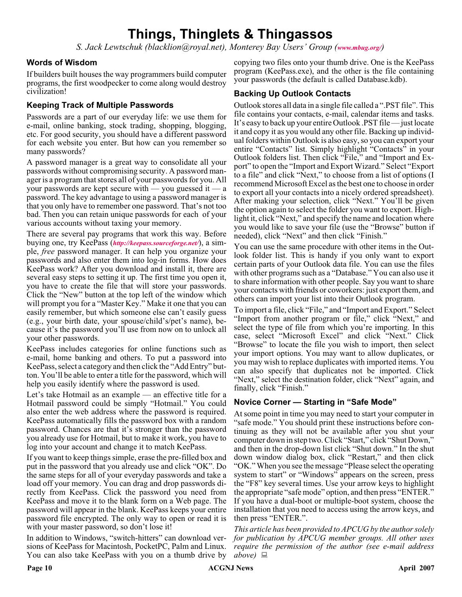### **Things, Thinglets & Thingassos**

*S. Jack Lewtschuk (blacklion@royal.net), Monterey Bay Users' Group ([www.mbug.org/](http://www.mbug.org/))*

#### **Words of Wisdom**

If builders built houses the way programmers build computer programs, the first woodpecker to come along would destroy civilization!

#### **Keeping Track of Multiple Passwords**

Passwords are a part of our everyday life: we use them for e-mail, online banking, stock trading, shopping, blogging, etc. For good security, you should have a different password for each website you enter. But how can you remember so many passwords?

A password manager is a great way to consolidate all your passwords without compromising security. A password manager is a program that stores all of your passwords for you. All your passwords are kept secure with — you guessed it — a password. The key advantage to using a password manager is that you only have to remember one password. That's not too bad. Then you can retain unique passwords for each of your various accounts without taxing your memory.

There are several pay programs that work this way. Before buying one, try KeePass (*<http://keepass.sourceforge.net/>*), a simple, *free* password manager. It can help you organize your passwords and also enter them into log-in forms. How does KeePass work? After you download and install it, there are several easy steps to setting it up. The first time you open it, you have to create the file that will store your passwords. Click the "New" button at the top left of the window which will prompt you for a "Master Key." Make it one that you can easily remember, but which someone else can't easily guess (e.g., your birth date, your spouse/child's/pet's name), because it's the password you'll use from now on to unlock all your other passwords.

KeePass includes categories for online functions such as e-mail, home banking and others. To put a password into KeePass, select a category and then click the "Add Entry" button. You'll be able to enter a title for the password, which will help you easily identify where the password is used.

Let's take Hotmail as an example — an effective title for a Hotmail password could be simply "Hotmail." You could also enter the web address where the password is required. KeePass automatically fills the password box with a random password. Chances are that it's stronger than the password you already use for Hotmail, but to make it work, you have to log into your account and change it to match KeePass.

If you want to keep things simple, erase the pre-filled box and put in the password that you already use and click "OK". Do the same steps for all of your everyday passwords and take a load off your memory. You can drag and drop passwords directly from KeePass. Click the password you need from KeePass and move it to the blank form on a Web page. The password will appear in the blank. KeePass keeps your entire password file encrypted. The only way to open or read it is with your master password, so don't lose it!

In addition to Windows, "switch-hitters" can download versions of KeePass for Macintosh, PocketPC, Palm and Linux. You can also take KeePass with you on a thumb drive by

copying two files onto your thumb drive. One is the KeePass program (KeePass.exe), and the other is the file containing your passwords (the default is called Database.kdb).

#### **Backing Up Outlook Contacts**

Outlook stores all data in a single file called a ".PST file". This file contains your contacts, e-mail, calendar items and tasks. It's easy to back up your entire Outlook .PST file — just locate it and copy it as you would any other file. Backing up individual folders within Outlook is also easy, so you can export your entire "Contacts" list. Simply highlight "Contacts" in your Outlook folders list. Then click "File," and "Import and Export" to open the "Import and Export Wizard." Select "Export to a file" and click "Next," to choose from a list of options (I recommend Microsoft Excel as the best one to choose in order to export all your contacts into a nicely ordered spreadsheet). After making your selection, click "Next." You'll be given the option again to select the folder you want to export. Highlight it, click "Next," and specify the name and location where you would like to save your file (use the "Browse" button if needed), click "Next" and then click "Finish."

You can use the same procedure with other items in the Outlook folder list. This is handy if you only want to export certain parts of your Outlook data file. You can use the files with other programs such as a "Database." You can also use it to share information with other people. Say you want to share your contacts with friends or coworkers: just export them, and others can import your list into their Outlook program.

To import a file, click "File," and "Import and Export." Select "Import from another program or file," click "Next," and select the type of file from which you're importing. In this case, select "Microsoft Excel" and click "Next." Click "Browse" to locate the file you wish to import, then select your import options. You may want to allow duplicates, or you may wish to replace duplicates with imported items. You can also specify that duplicates not be imported. Click "Next," select the destination folder, click "Next" again, and finally, click "Finish."

#### **Novice Corner — Starting in "Safe Mode"**

At some point in time you may need to start your computer in "safe mode." You should print these instructions before continuing as they will not be available after you shut your computer down in step two. Click "Start," click "Shut Down," and then in the drop-down list click "Shut down." In the shut down window dialog box, click "Restart," and then click "OK." When you see the message "Please select the operating system to start" or "Windows" appears on the screen, press the "F8" key several times. Use your arrow keys to highlight the appropriate "safe mode" option, and then press "ENTER." If you have a dual-boot or multiple-boot system, choose the installation that you need to access using the arrow keys, and then press "ENTER.".

*This article has been provided to APCUG by the author solely for publication by APCUG member groups. All other uses require the permission of the author (see e-mail address above)*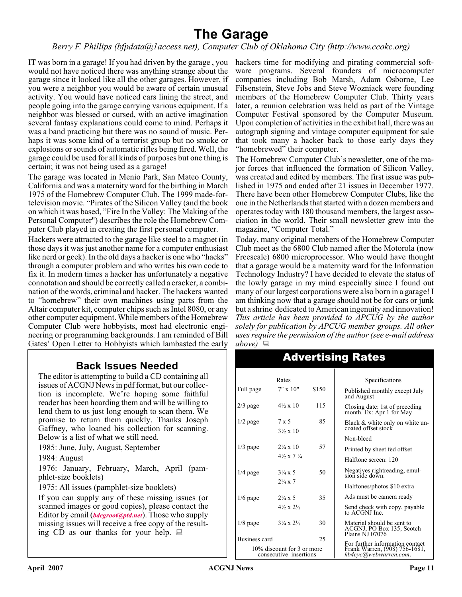### **The Garage**

#### *Berry F. Phillips (bfpdata@1access.net), Computer Club of Oklahoma City (http://www.ccokc.org)*

IT was born in a garage! If you had driven by the garage , you hackers time for modifying and pirating commercial softwould not have noticed there was anything strange about the garage since it looked like all the other garages. However, if you were a neighbor you would be aware of certain unusual activity. You would have noticed cars lining the street, and people going into the garage carrying various equipment. If a neighbor was blessed or cursed, with an active imagination several fantasy explanations could come to mind. Perhaps it was a band practicing but there was no sound of music. Perhaps it was some kind of a terrorist group but no smoke or explosions or sounds of automatic rifles being fired. Well, the garage could be used for all kinds of purposes but one thing is certain; it was not being used as a garage!

The garage was located in Menio Park, San Mateo County, California and was a maternity ward for the birthing in March 1975 of the Homebrew Computer Club. The 1999 made-fortelevision movie. "Pirates of the Silicon Valley (and the book on which it was based, "Fire In the Valley: The Making of the Personal Computer") describes the role the Homebrew Computer Club played in creating the first personal computer.

Hackers were attracted to the garage like steel to a magnet (in those days it was just another name for a computer enthusiast like nerd or geek). In the old days a hacker is one who "hacks" through a computer problem and who writes his own code to fix it. In modern times a hacker has unfortunately a negative connotation and should be correctly called a cracker, a combination of the words, criminal and hacker. The hackers wanted to "homebrew" their own machines using parts from the Altair computer kit, computer chips such as Intel 8080, or any other computer equipment. While members of the Homebrew Computer Club were hobbyists, most had electronic engineering or programming backgrounds. I am reminded of Bill Gates' Open Letter to Hobbyists which lambasted the early

### **Back Issues Needed**

The editor is attempting to build a CD containing all issues of ACGNJ News in pdf format, but our collection is incomplete. We're hoping some faithful reader has been hoarding them and will be willing to lend them to us just long enough to scan them. We promise to return them quickly. Thanks Joseph Gaffney, who loaned his collection for scanning. Below is a list of what we still need.

1985: June, July, August, September

1984: August

1976: January, February, March, April (pamphlet-size booklets)

1975: All issues (pamphlet-size booklets)

If you can supply any of these missing issues (or scanned images or good copies), please contact the Editor by email (*[bdegroot@ptd.net](mailto:bdegroot@ptd.net)*). Those who supply missing issues will receive a free copy of the resulting CD as our thanks for your help.  $\Box$ 

ware programs. Several founders of microcomputer companies including Bob Marsh, Adam Osborne, Lee Filsenstein, Steve Jobs and Steve Wozniack were founding members of the Homebrew Computer Club. Thirty years later, a reunion celebration was held as part of the Vintage Computer Festival sponsored by the Computer Museum. Upon completion of activities in the exhibit hall, there was an autograph signing and vintage computer equipment for sale that took many a hacker back to those early days they "homebrewed" their computer.

The Homebrew Computer Club's newsletter, one of the major forces that influenced the formation of Silicon Valley, was created and edited by members. The first issue was published in 1975 and ended after 21 issues in December 1977. There have been other Homebrew Computer Clubs, like the one in the Netherlands that started with a dozen members and operates today with 180 thousand members, the largest association in the world. Their small newsletter grew into the magazine, "Computer Total."

Today, many original members of the Homebrew Computer Club meet as the 6800 Club named after the Motorola (now Freescale) 6800 microprocessor. Who would have thought that a garage would be a maternity ward for the Information Technology Industry? I have decided to elevate the status of the lowly garage in my mind especially since I found out many of our largest corporations were also born in a garage! I am thinking now that a garage should not be for cars or junk but a shrine dedicated to American ingenuity and innovation! *This article has been provided to APCUG by the author solely for publication by APCUG member groups. All other uses require the permission of the author (see e-mail address above)*

| Rates                                                |                                          |       | Specifications                                                             |
|------------------------------------------------------|------------------------------------------|-------|----------------------------------------------------------------------------|
| Full page                                            | $7" \times 10"$                          | \$150 | Published monthly except July<br>and August                                |
| $2/3$ page                                           | $4\frac{1}{2} \times 10$                 | 115   | Closing date: 1st of preceding<br>month. Ex: Apr 1 for May                 |
| $1/2$ page                                           | $7 \times 5$<br>$3\frac{1}{2} \times 10$ | 85    | Black & white only on white un-<br>coated offset stock                     |
|                                                      |                                          |       | Non-bleed                                                                  |
| $1/3$ page                                           | $2\frac{1}{4} \times 10$                 | 57    | Printed by sheet fed offset                                                |
|                                                      | $4\frac{1}{2} \times 7\frac{1}{4}$       |       | Halftone screen: 120                                                       |
| $1/4$ page                                           | $3\frac{1}{4} \times 5$                  | 50    | Negatives rightreading, emul-<br>sion side down.                           |
|                                                      | $2\frac{1}{4} \times 7$                  |       | Halftones/photos \$10 extra                                                |
| $1/6$ page                                           | $2\frac{1}{4} \times 5$                  | 35    | Ads must be camera ready                                                   |
|                                                      | $4\frac{1}{2} \times 2\frac{1}{2}$       |       | Send check with copy, payable<br>to ACGNJ Inc.                             |
| $1/8$ page                                           | $3\frac{1}{4} \times 2\frac{1}{2}$       | 30    | Material should be sent to<br>ACGNJ, PO Box 135, Scotch<br>Plains NJ 07076 |
| Business card                                        |                                          | 25    | For further information contact                                            |
| 10% discount for 3 or more<br>consecutive insertions |                                          |       | Frank Warren, (908) 756-1681,<br>kb4cyc@webwarren.com.                     |

### Advertising Rates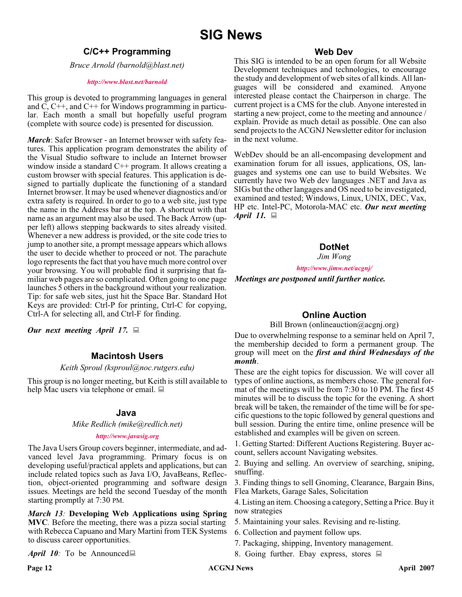### **SIG News**

#### **C/C++ Programming**

*Bruce Arnold (barnold@blast.net)*

#### *<http://www.blast.net/barnold>*

This group is devoted to programming languages in general and C, C++, and C++ for Windows programming in particular. Each month a small but hopefully useful program (complete with source code) is presented for discussion.

*March*: Safer Browser - an Internet browser with safety features. This application program demonstrates the ability of the Visual Studio software to include an Internet browser window inside a standard C<sup>++</sup> program. It allows creating a custom browser with special features. This application is designed to partially duplicate the functioning of a standard Internet browser. It may be used whenever diagnostics and/or extra safety is required. In order to go to a web site, just type the name in the Address bar at the top. A shortcut with that name as an argument may also be used. The Back Arrow (upper left) allows stepping backwards to sites already visited. Whenever a new address is provided, or the site code tries to jump to another site, a prompt message appears which allows the user to decide whether to proceed or not. The parachute logo represents the fact that you have much more control over your browsing. You will probable find it surprising that familiar web pages are so complicated. Often going to one page launches 5 others in the background without your realization. Tip: for safe web sites, just hit the Space Bar. Standard Hot Keys are provided: Ctrl-P for printing, Ctrl-C for copying, Ctrl-A for selecting all, and Ctrl-F for finding.

*Our next meeting April 17.*

#### **Macintosh Users**

#### *Keith Sproul (ksproul@noc.rutgers.edu)*

This group is no longer meeting, but Keith is still available to help Mac users via telephone or email.  $\Box$ 

#### **Java**

*Mike Redlich (mike@redlich.net)*

#### *<http://www.javasig.org>*

The Java Users Group covers beginner, intermediate, and advanced level Java programming. Primary focus is on developing useful/practical applets and applications, but can include related topics such as Java I/O, JavaBeans, Reflection, object-oriented programming and software design issues. Meetings are held the second Tuesday of the month starting promptly at 7:30 PM.

*March 13:* **Developing Web Applications using Spring MVC***.* Before the meeting, there was a pizza social starting with Rebecca Capuano and Mary Martini from TEK Systems to discuss career opportunities.

*April 10:* To be Announced

#### **Web Dev**

This SIG is intended to be an open forum for all Website Development techniques and technologies, to encourage the study and development of web sites of all kinds. All languages will be considered and examined. Anyone interested please contact the Chairperson in charge. The current project is a CMS for the club. Anyone interested in starting a new project, come to the meeting and announce / explain. Provide as much detail as possible. One can also send projects to the ACGNJ Newsletter editor for inclusion in the next volume.

WebDev should be an all-encompasing development and examination forum for all issues, applications, OS, languages and systems one can use to build Websites. We currently have two Web dev languages .NET and Java as SIGs but the other langages and OS need to be investigated, examined and tested; Windows, Linux, UNIX, DEC, Vax, HP etc. Intel-PC, Motorola-MAC etc. *Our next meeting April 11.*

#### **DotNet**

*Jim Wong*

*<http://www.jimw.net/acgnj/>*

*Meetings are postponed until further notice.*

#### **Online Auction**

Bill Brown (onlineauction@acgnj.org)

Due to overwhelming response to a seminar held on April 7, the membership decided to form a permanent group. The group will meet on the *first and third Wednesdays of the month*.

These are the eight topics for discussion. We will cover all types of online auctions, as members chose. The general format of the meetings will be from 7:30 to 10 PM. The first 45 minutes will be to discuss the topic for the evening. A short break will be taken, the remainder of the time will be for specific questions to the topic followed by general questions and bull session. During the entire time, online presence will be established and examples will be given on screen.

1. Getting Started: Different Auctions Registering. Buyer account, sellers account Navigating websites.

2. Buying and selling. An overview of searching, sniping, snuffing.

3. Finding things to sell Gnoming, Clearance, Bargain Bins, Flea Markets, Garage Sales, Solicitation

4. Listing an item. Choosing a category, Setting a Price. Buy it now strategies

- 5. Maintaining your sales. Revising and re-listing.
- 6. Collection and payment follow ups.
- 7. Packaging, shipping, Inventory management.
- 8. Going further. Ebay express, stores  $\Box$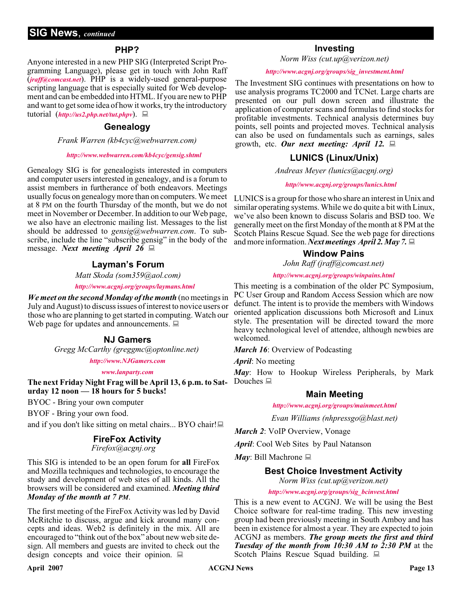#### **PHP?**

Anyone interested in a new PHP SIG (Interpreted Script Programming Language), please get in touch with John Raff (*[jraff@comcast.net](mailto:jraff@comcast.net)*). PHP is a widely-used general-purpose scripting language that is especially suited for Web development and can be embedded into HTML. If you are new to PHP and want to get some idea of how it works, try the introductory tutorial (*<http://us2.php.net/tut.phpv>*).

#### **Genealogy**

*Frank Warren (kb4cyc@webwarren.com)*

#### *<http://www.webwarren.com/kb4cyc/gensig.shtml>*

Genealogy SIG is for genealogists interested in computers and computer users interested in genealogy, and is a forum to assist members in furtherance of both endeavors. Meetings usually focus on genealogy more than on computers. We meet at 8 PM on the fourth Thursday of the month, but we do not meet in November or December. In addition to our Web page, we also have an electronic mailing list. Messages to the list should be addressed to *gensig@webwarren.com*. To subscribe, include the line "subscribe gensig" in the body of the message. *Next meeting April 26*

#### **Layman's Forum**

*Matt Skoda (som359@aol.com)*

*<http://www.acgnj.org/groups/laymans.html>*

*We meet on the second Monday of the month* (no meetings in July and August) to discuss issues of interest to novice users or those who are planning to get started in computing. Watch our Web page for updates and announcements.  $\Box$ 

#### **NJ Gamers**

*Gregg McCarthy (greggmc@optonline.net)*

*<http://www.NJGamers.com>*

*[www.lanparty.com](http://www.lanparty.com)*

**The next Friday Night Frag will be April 13, 6 p.m. to Saturday 12 noon — 18 hours for 5 bucks!**

BYOC - Bring your own computer

BYOF - Bring your own food.

and if you don't like sitting on metal chairs... BYO chair!

#### **FireFox Activity**

*Firefox@acgnj.org*

This SIG is intended to be an open forum for **all** FireFox and Mozilla techniques and technologies, to encourage the study and development of web sites of all kinds. All the browsers will be considered and examined. *Meeting third Monday of the month at 7 PM*.

The first meeting of the FireFox Activity was led by David McRitchie to discuss, argue and kick around many concepts and ideas. Web2 is definitely in the mix. All are encouraged to "think out of the box" about new web site design. All members and guests are invited to check out the design concepts and voice their opinion.  $\Box$ 

#### **Investing**

*Norm Wiss (cut.up@verizon.net)*

#### *[http://www.acgnj.org/groups/sig\\_investment.html](http://www.acgnj.org/groups/sig_investment.html)*

The Investment SIG continues with presentations on how to use analysis programs TC2000 and TCNet. Large charts are presented on our pull down screen and illustrate the application of computer scans and formulas to find stocks for profitable investments. Technical analysis determines buy points, sell points and projected moves. Technical analysis can also be used on fundamentals such as earnings, sales growth, etc. *Our next meeting: April 12.*

#### **LUNICS (Linux/Unix)**

*Andreas Meyer (lunics@acgnj.org)*

#### *<http//www.acgnj.org/groups/lunics.html>*

LUNICS is a group for those who share an interest in Unix and similar operating systems. While we do quite a bit with Linux, we've also been known to discuss Solaris and BSD too. We generally meet on the first Monday of the month at 8 PM at the Scotch Plains Rescue Squad. See the web page for directions and more information. *Next meetings April 2. May 7.*

#### **Window Pains**

*John Raff (jraff@comcast.net)*

#### *<http://www.acgnj.org/groups/winpains.html>*

This meeting is a combination of the older PC Symposium, PC User Group and Random Access Session which are now defunct. The intent is to provide the members with Windows oriented application discussions both Microsoft and Linux style. The presentation will be directed toward the more heavy technological level of attendee, although newbies are welcomed.

*March 16*: Overview of Podcasting

*April*: No meeting

*May*: How to Hookup Wireless Peripherals, by Mark Douches  $\Box$ 

#### **Main Meeting**

*<http://www.acgnj.org/groups/mainmeet.html>*

*Evan Williams (nhpressgo@blast.net)*

*March 2*: VoIP Overview, Vonage

*April*: Cool Web Sites by Paul Natanson

*May*: Bill Machrone  $\Box$ 

#### **Best Choice Investment Activity**

*Norm Wiss (cut.up@verizon.net)*

*[http://www.acgnj.org/groups/sig\\_bcinvest.html](http://www.acgnj.org/groups/sig_bcinvest.html)*

This is a new event to ACGNJ. We will be using the Best Choice software for real-time trading. This new investing group had been previously meeting in South Amboy and has been in existence for almost a year. They are expected to join ACGNJ as members. *The group meets the first and third Tuesday of the month from 10:30 AM to 2:30 PM* at the Scotch Plains Rescue Squad building.  $\Box$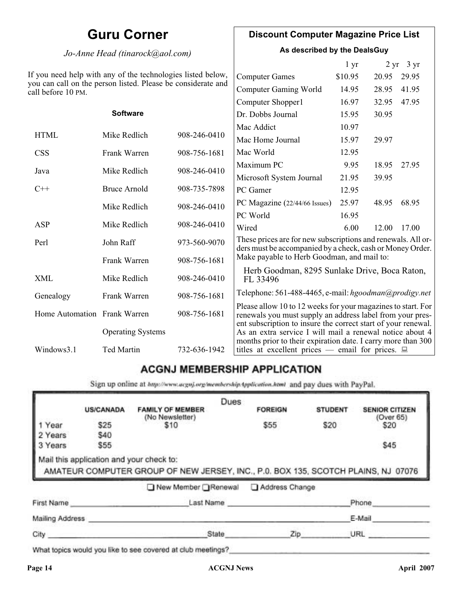### **Guru Corner**

#### *Jo-Anne Head (tinarock@aol.com)*

#### **Discount Computer Magazine Price List**

**As described by the DealsGuy**

|                                                                                                                                              |                          |              |                                                                                                                                                                                            | 1 yr    | $2 \, yr$ | $3 \text{ yr}$ |
|----------------------------------------------------------------------------------------------------------------------------------------------|--------------------------|--------------|--------------------------------------------------------------------------------------------------------------------------------------------------------------------------------------------|---------|-----------|----------------|
| you need help with any of the technologies listed below,<br>ou can call on the person listed. Please be considerate and<br>all before 10 PM. |                          |              | <b>Computer Games</b>                                                                                                                                                                      | \$10.95 | 20.95     | 29.95          |
|                                                                                                                                              |                          |              | <b>Computer Gaming World</b>                                                                                                                                                               | 14.95   | 28.95     | 41.95          |
|                                                                                                                                              |                          |              | Computer Shopper1                                                                                                                                                                          | 16.97   | 32.95     | 47.95          |
|                                                                                                                                              | <b>Software</b>          |              | Dr. Dobbs Journal                                                                                                                                                                          | 15.95   | 30.95     |                |
|                                                                                                                                              |                          |              | Mac Addict                                                                                                                                                                                 | 10.97   |           |                |
| <b>HTML</b>                                                                                                                                  | Mike Redlich             | 908-246-0410 | Mac Home Journal                                                                                                                                                                           | 15.97   | 29.97     |                |
| <b>CSS</b>                                                                                                                                   | Frank Warren             | 908-756-1681 | Mac World                                                                                                                                                                                  | 12.95   |           |                |
| Java                                                                                                                                         | Mike Redlich             | 908-246-0410 | Maximum PC                                                                                                                                                                                 | 9.95    | 18.95     | 27.95          |
|                                                                                                                                              |                          |              | Microsoft System Journal                                                                                                                                                                   | 21.95   | 39.95     |                |
| $C++$                                                                                                                                        | <b>Bruce Arnold</b>      | 908-735-7898 | PC Gamer                                                                                                                                                                                   | 12.95   |           |                |
|                                                                                                                                              | Mike Redlich             | 908-246-0410 | PC Magazine (22/44/66 Issues)                                                                                                                                                              | 25.97   | 48.95     | 68.95          |
|                                                                                                                                              |                          |              | PC World                                                                                                                                                                                   | 16.95   |           |                |
| ASP                                                                                                                                          | Mike Redlich             | 908-246-0410 | Wired                                                                                                                                                                                      | 6.00    | 12.00     | 17.00          |
| Perl                                                                                                                                         | John Raff                | 973-560-9070 | These prices are for new subscriptions and renewals. All or-<br>ders must be accompanied by a check, cash or Money Order.                                                                  |         |           |                |
|                                                                                                                                              | Frank Warren             | 908-756-1681 | Make payable to Herb Goodman, and mail to:                                                                                                                                                 |         |           |                |
| <b>XML</b>                                                                                                                                   | Mike Redlich             | 908-246-0410 | Herb Goodman, 8295 Sunlake Drive, Boca Raton,<br>FL 33496                                                                                                                                  |         |           |                |
| Genealogy                                                                                                                                    | Frank Warren             | 908-756-1681 | Telephone: 561-488-4465, e-mail: hgoodman@prodigy.net                                                                                                                                      |         |           |                |
| Home Automation Frank Warren                                                                                                                 |                          | 908-756-1681 | Please allow 10 to 12 weeks for your magazines to start. For<br>renewals you must supply an address label from your pres-<br>ent subscription to insure the correct start of your renewal. |         |           |                |
|                                                                                                                                              | <b>Operating Systems</b> |              | As an extra service I will mail a renewal notice about 4<br>months prior to their expiration date. I carry more than 300                                                                   |         |           |                |
| Windows3.1                                                                                                                                   | Ted Martin               | 732-636-1942 | titles at excellent prices — email for prices. $\Box$                                                                                                                                      |         |           |                |

#### **ACGNJ MEMBERSHIP APPLICATION**

Sign up online at http://www.acguj.org/membershipApplication.html and pay dues with PayPal.

|                 |                                          |                                                                                   | Dues |                |                |                                    |
|-----------------|------------------------------------------|-----------------------------------------------------------------------------------|------|----------------|----------------|------------------------------------|
|                 | <b>US/CANADA</b>                         | <b>FAMILY OF MEMBER</b><br>(No Newsletter)                                        |      | <b>FOREIGN</b> | <b>STUDENT</b> | <b>SENIOR CITIZEN</b><br>(Over 65) |
| l Year          | \$25                                     | \$10                                                                              |      | \$55           | \$20           | \$20                               |
| 2 Years         | \$40                                     |                                                                                   |      |                |                |                                    |
| 3 Years         | \$55                                     |                                                                                   |      |                |                | \$45                               |
|                 | Mail this application and your check to: | AMATEUR COMPUTER GROUP OF NEW JERSEY, INC., P.0. BOX 135, SCOTCH PLAINS, NJ 07076 |      |                |                |                                    |
|                 |                                          | ■ New Member Renewal                                                              |      | Address Change |                |                                    |
| First Name      |                                          | Last Name                                                                         |      |                |                | Phone                              |
| Mailing Address |                                          |                                                                                   |      |                |                | E-Mail                             |

What topics would you like to see covered at club meetings?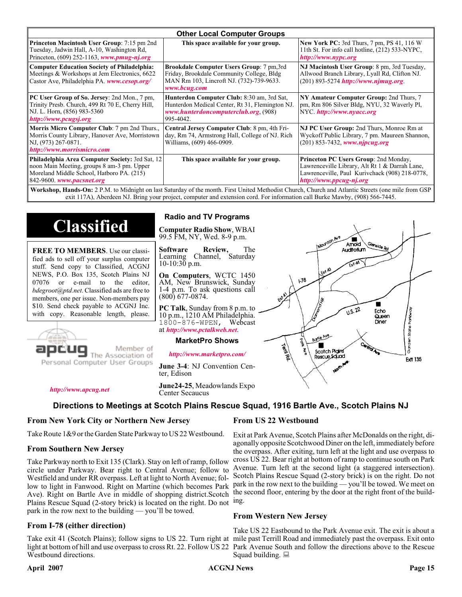| <b>Other Local Computer Groups</b>                                                                                                                                      |                                                                                                                                                           |                                                                                                                                                                                                                                                                                                                                                                                                                                                                                                            |  |  |  |  |
|-------------------------------------------------------------------------------------------------------------------------------------------------------------------------|-----------------------------------------------------------------------------------------------------------------------------------------------------------|------------------------------------------------------------------------------------------------------------------------------------------------------------------------------------------------------------------------------------------------------------------------------------------------------------------------------------------------------------------------------------------------------------------------------------------------------------------------------------------------------------|--|--|--|--|
| <b>Princeton Macintosh User Group:</b> 7:15 pm 2nd<br>Tuesday, Jadwin Hall, A-10, Washington Rd,<br>Princeton, $(609)$ 252-1163, www.pmug-nj.org                        | This space available for your group.                                                                                                                      | <b>New York PC:</b> 3rd Thurs, 7 pm, PS 41, 116 W<br>11th St. For info call hotline, (212) 533-NYPC,<br>http://www.nypc.org                                                                                                                                                                                                                                                                                                                                                                                |  |  |  |  |
| <b>Computer Education Society of Philadelphia:</b><br>Meetings & Workshops at Jem Electronics, 6622<br>Castor Ave, Philadelphia PA. www.cesop.org/                      | <b>Brookdale Computer Users Group:</b> 7 pm, 3rd<br>Friday, Brookdale Community College, Bldg<br>MAN Rm 103, Lincroft NJ. (732)-739-9633.<br>www.bcug.com | NJ Macintosh User Group: 8 pm, 3rd Tuesday,<br>Allwood Branch Library, Lyall Rd, Clifton NJ.<br>(201) 893-5274 http://www.njmug.org.                                                                                                                                                                                                                                                                                                                                                                       |  |  |  |  |
| PC User Group of So. Jersey: 2nd Mon., 7 pm,<br>Trinity Presb. Church, 499 Rt 70 E, Cherry Hill,<br>NJ. L. Horn, (856) 983-5360<br>http://www.pcugsj.org                | Hunterdon Computer Club: 8:30 am, 3rd Sat,<br>Hunterdon Medical Center, Rt 31, Flemington NJ.<br>www.hunterdoncomputerclub.org. (908)<br>995-4042.        | NY Amateur Computer Group: 2nd Thurs, 7<br>pm, Rm 806 Silver Bldg, NYU, 32 Waverly Pl,<br>NYC http://www.nyacc.org                                                                                                                                                                                                                                                                                                                                                                                         |  |  |  |  |
| Morris Micro Computer Club: 7 pm 2nd Thurs.,<br>Morris County Library, Hanover Ave, Morristown<br>NJ, (973) 267-0871.<br>http://www.morrismicro.com                     | Central Jersey Computer Club: 8 pm, 4th Fri-<br>day, Rm 74, Armstrong Hall, College of NJ. Rich<br>Williams, (609) 466-0909.                              | NJ PC User Group: 2nd Thurs, Monroe Rm at<br>Wyckoff Public Library, 7 pm. Maureen Shannon,<br>$(201)$ 853-7432, www.nipcug.org                                                                                                                                                                                                                                                                                                                                                                            |  |  |  |  |
| Philadelphia Area Computer Society: 3rd Sat, 12<br>noon Main Meeting, groups 8 am-3 pm. Upper<br>Moreland Middle School, Hatboro PA. (215)<br>842-9600. www.pacsnet.org | This space available for your group.                                                                                                                      | Princeton PC Users Group: 2nd Monday,<br>Lawrenceville Library, Alt Rt 1 & Darrah Lane,<br>Lawrenceville, Paul Kurivchack (908) 218-0778,<br>http://www.ppcug-nj.org<br>$\mathbf{W}_{i}$ , here $\mathbf{H}_{i}$ , and $\mathbf{A}_{i}$ , $\mathbf{A}_{i}$ , $\mathbf{A}_{i}$ , $\mathbf{A}_{i}$ , $\mathbf{A}_{i}$ , $\mathbf{A}_{i}$ , $\mathbf{A}_{i}$ , $\mathbf{B}_{i}$ , $\mathbf{H}_{i}$ , $\mathbf{A}_{i}$ , $\mathbf{A}_{i}$ , $\mathbf{A}_{i}$ , $\mathbf{A}_{i}$ , $\mathbf{A}_{i}$ , $\mathbf$ |  |  |  |  |

**Workshop, Hands-On:** 2 P.M. to Midnight on last Saturday of the month. First United Methodist Church, Church and Atlantic Streets (one mile from GSP exit 117A), Aberdeen NJ. Bring your project, computer and extension cord. For information call Burke Mawby, (908) 566-7445.

## **Classified**

**FREE TO MEMBERS**. Use our classified ads to sell off your surplus computer stuff. Send copy to Classified, ACGNJ NEWS, P.O. Box 135, Scotch Plains NJ 07076 or e-mail to the editor, *bdegroot@ptd.net*. Classified ads are free to members, one per issue. Non-members pay \$10. Send check payable to ACGNJ Inc. with copy. Reasonable length, please.



### Member of

Personal Computer User Groups

**Radio and TV Programs**

**Computer Radio Show**, WBAI 99.5 FM, NY, Wed. 8-9 p.m.

**Software Review,** The Learning Channel, Saturday 10-10:30 p.m.

**On Computers**, WCTC 1450 AM, New Brunswick, Sunday 1-4 p.m. To ask questions call (800) 677-0874.

**PC Talk**, Sunday from 8 p.m. to 10 p.m., 1210 AM Philadelphia. 1800-876-WPEN, Webcast at *<http://www.pctalkweb.net>*.

#### **MarketPro Shows**

*<http://www.marketpro.com/>*

**June 3-4**: NJ Convention Center, Edison

**June24-25**, Meadowlands Expo

Center Secaucus

*<http://www.apcug.net>*

**Directions to Meetings at Scotch Plains Rescue Squad, 1916 Bartle Ave., Scotch Plains NJ**

#### **From New York City or Northern New Jersey**

Take Route 1&9 or the Garden State Parkway to US 22 Westbound.

#### **From Southern New Jersey**

Take Parkway north to Exit 135 (Clark). Stay on left of ramp, follow circle under Parkway. Bear right to Central Avenue; follow to Westfield and under RR overpass. Left at light to North Avenue; follow to light in Fanwood. Right on Martine (which becomes Park Ave). Right on Bartle Ave in middle of shopping district.Scotch Plains Rescue Squad (2-story brick) is located on the right. Do not ing. park in the row next to the building — you'll be towed.

#### **From I-78 (either direction)**

Take exit 41 (Scotch Plains); follow signs to US 22. Turn right at mile past Terrill Road and immediately past the overpass. Exit onto light at bottom of hill and use overpass to cross Rt. 22. Follow US 22 Park Avenue South and follow the directions above to the Rescue Westbound directions.

#### **From US 22 Westbound**

اھ<br>ا

 $178$ 

۳

Scotch Pigins

Rescue Sound

Exit at Park Avenue, Scotch Plains after McDonalds on the right, diagonally opposite Scotchwood Diner on the left, immediately before the overpass. After exiting, turn left at the light and use overpass to cross US 22. Bear right at bottom of ramp to continue south on Park Avenue. Turn left at the second light (a staggered intersection). Scotch Plains Rescue Squad (2-story brick) is on the right. Do not park in the row next to the building — you'll be towed. We meet on the second floor, entering by the door at the right front of the build-

Amold Auction in

 $\sqrt{1.5 \cdot 22}$ 

Fcho

Queen Diner

Sorden State Parkw

**Frit 135** 

#### **From Western New Jersey**

Take US 22 Eastbound to the Park Avenue exit. The exit is about a Squad building.  $\Box$